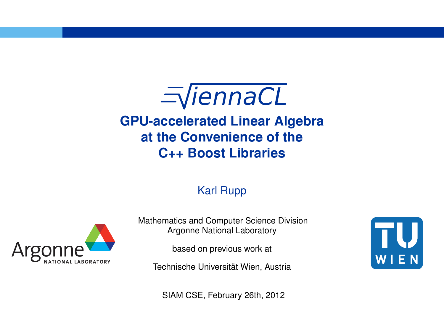$\equiv$ ViennaCL **GPU-accelerated Linear Algebra at the Convenience of the C++ Boost Libraries**

#### Karl Rupp



Mathematics and Computer Science Division Argonne National Laboratory

based on previous work at

Technische Universität Wien, Austria

U  $W E$ 

SIAM CSE, February 26th, 2012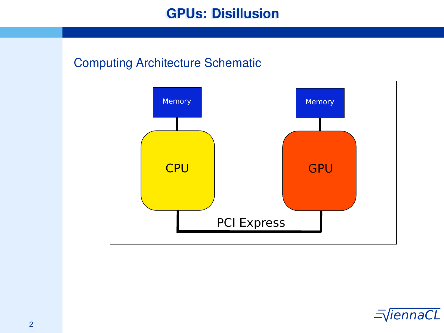# **GPUs: Disillusion**

#### Computing Architecture Schematic



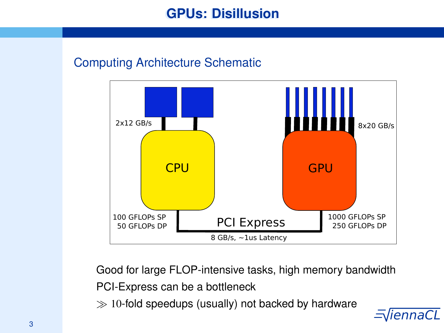# **GPUs: Disillusion**

## Computing Architecture Schematic



 $\exists$ Good for large FLOP-intensive tasks, high memory bandwidth PCI-Express can be a bottleneck  $\gg$  10-fold speedups (usually) not backed by hardware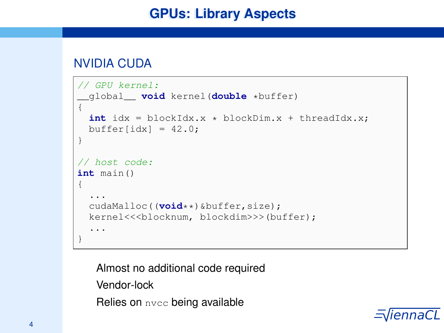## **GPUs: Library Aspects**

### NVIDIA CUDA

```
// GPU kernel:
 __global__ void kernel(double *buffer)
{
  int idx = blockIdx.x * blockDim.x + threadIdx.x;
 buffer[idx] = 42.0;
}
// host code:
int main()
{
  ...
  cudaMalloc((void**)&buffer,size);
  kernel<<<br/>sblocknum, blockdim>>>(buffer);
  ...
}
```
Almost no additional code required Vendor-lock Relies on nvcc being available

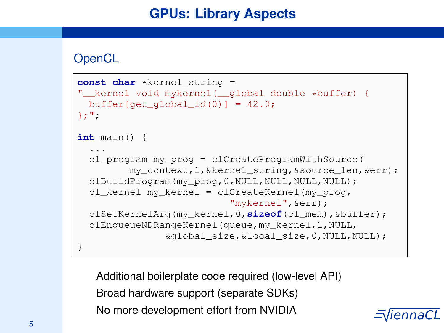# **GPUs: Library Aspects**

### **OpenCL**

```
const char *kernel_string =
" kernel void mykernel( alobal double *buffer) {
 buffer[get global id(0)] = 42.0;
};";
int main() {
  ...
  cl_program my_prog = clCreateProgramWithSource(
         my_context,1,&kernel_string,&source_len,&err);
 clBuildProgram(my_prog, 0, NULL, NULL, NULL, NULL);
  cl_kernel my_kernel = clCreateKernel(my_prog,
                           "mykernel",&err);
  clSetKernelArg(my_kernel,0,sizeof(cl_mem),&buffer);
  clEnqueueNDRangeKernel(queue,my_kernel,1,NULL,
               &global_size,&local_size,0,NULL,NULL);
}
```
5 is the No more development effort from NVIDIA  $=\sqrt{i}\,e\,n\,n\,a\,C\,L$ Additional boilerplate code required (low-level API) Broad hardware support (separate SDKs)

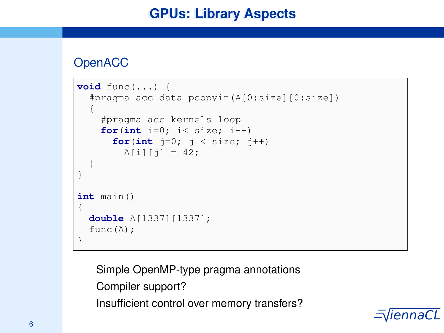## **GPUs: Library Aspects**

## **OpenACC**

```
void func(...) {
  #pragma acc data pcopyin(A[0:size][0:size])
  {
    #pragma acc kernels loop
    for(int i=0; i< size; i++)
      for(int j=0; j < size; j++)
        A[i][i] = 42:
  }
}
int main()
{
  double A[1337][1337];
  func(A):
}
```
Simple OpenMP-type pragma annotations Compiler support? Insufficient control over memory transfers?

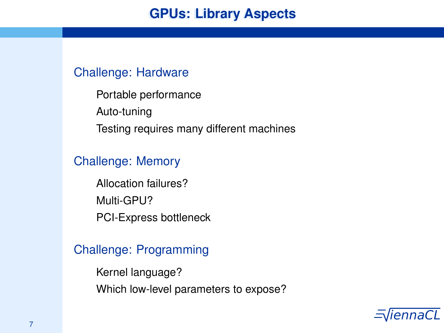#### Challenge: Hardware

Portable performance Auto-tuning Testing requires many different machines

#### Challenge: Memory

Allocation failures? Multi-GPU? PCI-Express bottleneck

### Challenge: Programming

Kernel language? Which low-level parameters to expose?

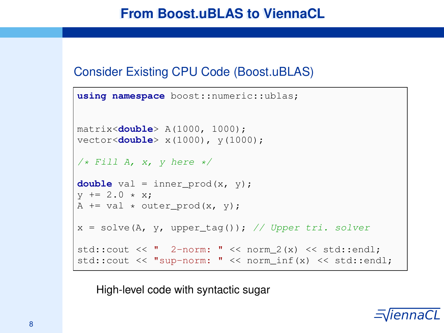## **From Boost.uBLAS to ViennaCL**

#### Consider Existing CPU Code (Boost.uBLAS)

```
using namespace boost::numeric::ublas;
matrix<double> A(1000, 1000);
vector<double> x(1000), y(1000);
/* Fill A, x, y here */
double val = inner prod(x, y):
y := 2.0 \times x:
A += val \star outer prod(x, y);
x = solve(A, y, upper tag()); // Upper tri. solver
std::cout \lt\lt " 2-norm: " \lt\lt norm 2(x) \lt\lt std::endl;
std::cout << "sup-norm: " << norm_inf(x) << std::endl;
```
High-level code with syntactic sugar

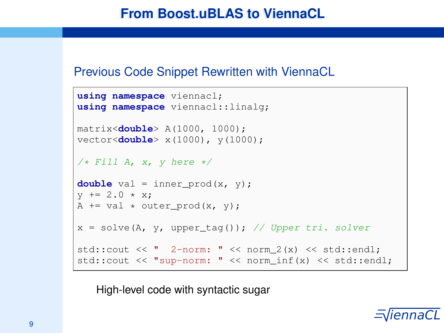#### Previous Code Snippet Rewritten with ViennaCL

```
using namespace viennacl;
using namespace viennacl::linalg;
matrix<double> A(1000, 1000);
vector<double> x(1000), y(1000);
/* Fill A, x, v here */double val = inner prod(x, y);
y := 2.0 \times x:
A += val * outer_prod(x, y);
x = solve(A, y, upper\_tag()); // Upper tri. solver
std::cout \lt\lt " 2-norm: " \lt\lt norm 2(x) \lt\lt std::endl;
std::cout << "sup-norm: " << norm_inf(x) << std::endl;
```
High-level code with syntactic sugar

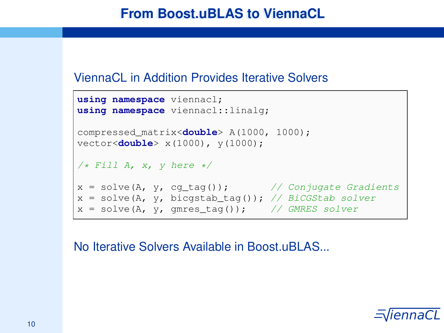#### ViennaCL in Addition Provides Iterative Solvers

```
using namespace viennacl;
using namespace viennacl::linalg;
compressed_matrix<double> A(1000, 1000);
vector<double> x(1000), y(1000);
/* Fill A, x, y here */
x = solve(A, y, cg\_tag()); // Conjugate Gradients
x = solve(A, y, bisostab\_tag()); // BiCGStab solver
x = solve(A, y, qmres\_tag()); // GMRES solver
```
No Iterative Solvers Available in Boost.uBLAS...

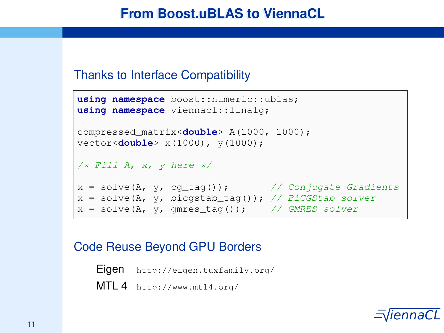## **From Boost.uBLAS to ViennaCL**

#### Thanks to Interface Compatibility

```
using namespace boost::numeric::ublas;
using namespace viennacl::linalg;
compressed_matrix<double> A(1000, 1000);
vector<double> x(1000), y(1000);
/* Fill A, x, y here */
x = solve(A, y, cg\_tag()); // Conjugate Gradients
x = solve(A, y, bicsstab\_tag()); // BiCGStab solver
x = solve(A, y, qmres\_tag()); // GMRES solver
```
### Code Reuse Beyond GPU Borders

Eigen http://eigen.tuxfamily.org/ MTL 4 http://www.mtl4.org/

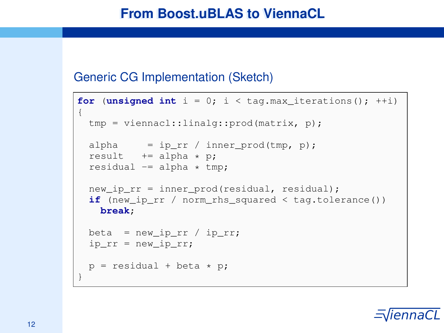### Generic CG Implementation (Sketch)

```
for (unsigned int i = 0; i < tag, max iterations(); +i)
{
 tmp = viennacl::linalg::prod(matrix, p);
  alpha = ip\_rr / inner_prod(tmp, p);
 result += alpha * p;
 residual = alpha * tmp:
 new ip rr = inner prod(residual, residual):
  if (new_ip_rr / norm_rhs_squared < tag.tolerance())
   break;
 beta = new\_ip\_rr / ip\_rr;ip\_rr = new\_ip\_rr;p = residual + beta * p;
}
```
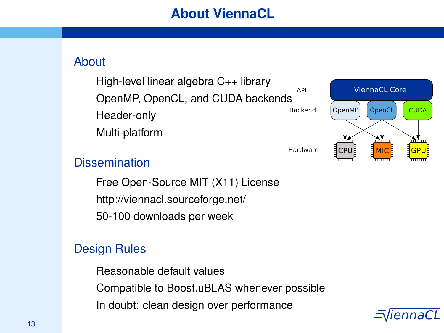## About

High-level linear algebra C++ library A PL OpenMP, OpenCL, and CUDA backends Backend Header-only Multi-platform



## **Dissemination**

Free Open-Source MIT (X11) License http://viennacl.sourceforge.net/ 50-100 downloads per week

## Design Rules

Reasonable default values Compatible to Boost.uBLAS whenever possible In doubt: clean design over performance

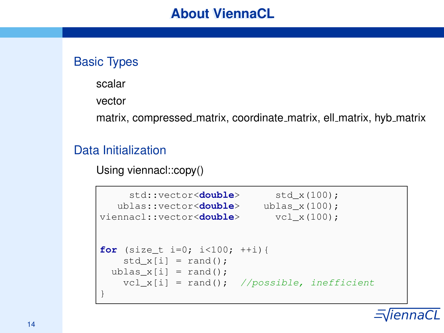## Basic Types

scalar

vector

matrix, compressed matrix, coordinate matrix, ell matrix, hyb matrix

## Data Initialization

Using viennacl::copy()

```
std::vector<double> std x(100);
  ublas::vector<double> ublas x(100);
viennacl::vector<double> vcl x(100);
for (size t i=0; i<100; ++i){
   std x[i] = rand():
 ublas x[i] = rand();
   vcl x[i] = rand(); //possible, inefficient
}
```
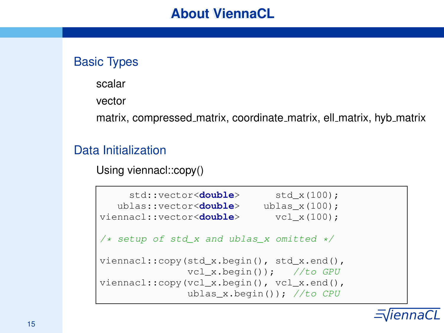## Basic Types

scalar

vector

matrix, compressed matrix, coordinate matrix, ell matrix, hyb matrix

## Data Initialization

Using viennacl::copy()

```
std::vector<double> std x(100);
  ublas::vector<double> ublas_x(100);
viennacl::vector<double> vcl_x(100);
/* setup of std x and ublas x omitted */
viennacl::copy(std x.begin(), std x.end(),
              vcl x.begin()); //to GPU
viennacl::copy(vcl_x.begin(), vcl_x.end(),
              ublas x.beqin()); //to CPU
```
 $\equiv$   $\sqrt{15}$  is the contract of the contract of the contract of  $\equiv$   $\sqrt{15}$  iennaCL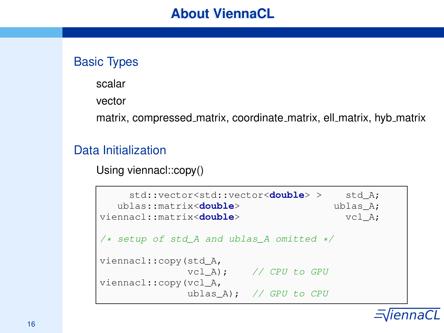## Basic Types

scalar

vector

matrix, compressed matrix, coordinate matrix, ell matrix, hyb matrix

## Data Initialization

Using viennacl::copy()

```
std::vector<std::vector<double> > std A;
  ublas::matrix<double> ublas A;
viennacl::matrix<double> vcl A;
/* setup of std A and ublas A omitted */
viennacl::copy(std_A,
            vcl A); // CPU to GPU
viennacl::copy(vcl_A,
             ublas A): // GPU to CPU
```
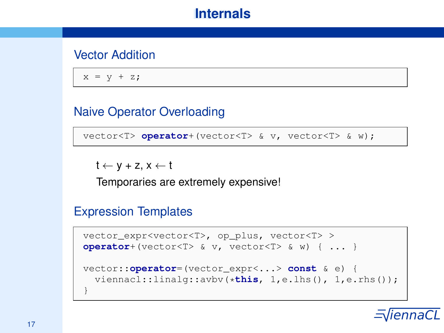### Vector Addition

 $x = y + z;$ 

### Naive Operator Overloading

vector<T> **operator**+(vector<T> & v, vector<T> & w);

 $t \leftarrow y + z$ ,  $x \leftarrow t$ 

Temporaries are extremely expensive!

#### Expression Templates

```
vector_expr<vector<T>, op_plus, vector<T> >
operator+(vector<T> & v, vector<T> & w) { ... }
vector::operator=(vector_expr<...> const & e) {
  viennacl::linalg::avbv(*this, 1,e.lhs(), 1,e.rhs());
}
```
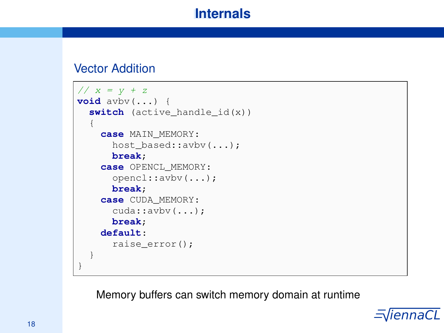#### Vector Addition

```
// x = y + zvoid avbv(...) {
  switch (active handle id(x))
  {
    case MAIN_MEMORY:
      host_based::avbv(...);
      break;
    case OPENCL_MEMORY:
      opencl::avbv(...);
      break;
    case CUDA_MEMORY:
      cuda::avbv(...);
      break;
    default:
      raise_error();
  }
}
```
Memory buffers can switch memory domain at runtime

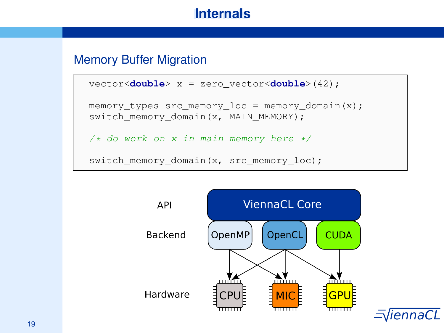#### Memory Buffer Migration

```
vector<double> x = zero_vector<double>(42);
memory_types src_memory\_loc = memory_domain(x);switch_memory_domain(x, MAIN_MEMORY);
/* do work on x in main memory here */switch_memory_domain(x, src_memory_loc);
```
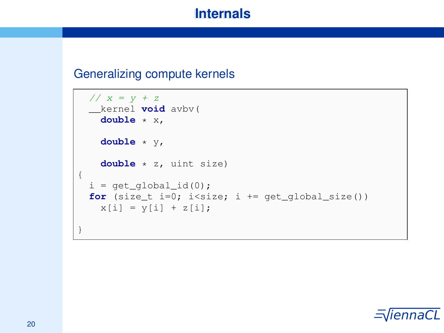#### Generalizing compute kernels

```
// x = y + z__kernel void avbv(
  double * x,
   double * y,
   double * z, uint size)
{
 i = qet qlobal id(0);for (size t i=0; i<size; i += get global size())
   x[i] = y[i] + z[i];}
```
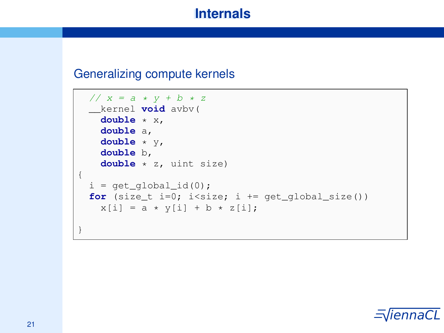#### Generalizing compute kernels

```
// x = a * y + b * z__kernel void avbv(
  double * x,
   double a,
   double * y,
   double b,
   double * z, uint size)
{
 i = qet qlobal id(0);for (size t i=0; i<size; i += get global size())
   x[i] = a * y[i] + b * z[i];}
```
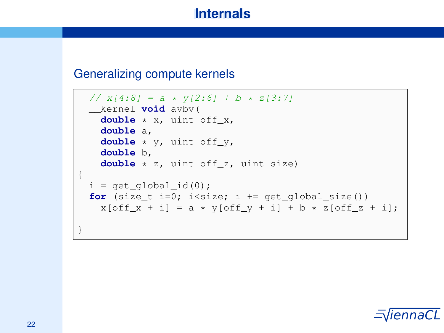#### Generalizing compute kernels

```
// x[4:8] = a * y[2:6] + b * z[3:7]__kernel void avbv(
  double * x, uint off x,
   double a,
   double * y, uint off_y,
   double b,
   double * z, uint off_z, uint size)
{
 i = qet qlobal id(0);for (size t i=0; i<size; i += get global size())
   x[off x + i] = a * y[off y + i] + b * z[off z + i];}
```
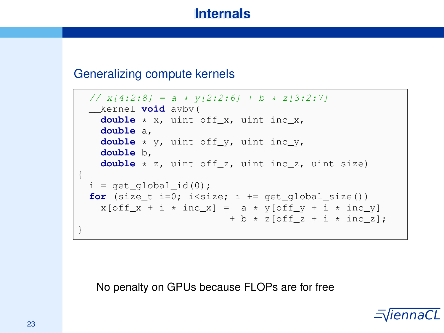#### Generalizing compute kernels

```
// x[4:2:8] = a * v[2:2:6] + b * z[3:2:7]__kernel void avbv(
   double * x, uint off_x, uint inc_x,
   double a,
   double * y, uint off_y, uint inc_y,
   double b,
   double * z, uint off_z, uint inc_z, uint size)
{
 i = qet qlobal id(0);for (size t i=0; i<size; i += get_global_size())
   x[off x + i * inc x] = a * y[off y + i * inc y]+ b \times z [off z + i \times inc z]:
}
```
No penalty on GPUs because FLOPs are for free

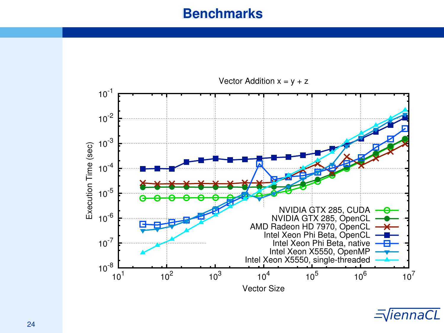## **Benchmarks**



 $\equiv$   $\equiv$   $\sim$   $\equiv$   $\sim$   $\equiv$   $\sim$   $\equiv$   $\sim$   $\equiv$   $\sim$   $\equiv$   $\sim$   $\equiv$   $\sim$   $\equiv$   $\sim$   $\equiv$   $\sim$   $\equiv$   $\sim$   $\equiv$   $\sim$   $\equiv$   $\sim$   $\equiv$   $\sim$   $\equiv$   $\sim$   $\equiv$   $\sim$   $\equiv$   $\sim$   $\equiv$   $\sim$   $\equiv$   $\sim$   $\equiv$   $\sim$   $\equiv$   $\sim$   $\equiv$   $\sim$   $\equiv$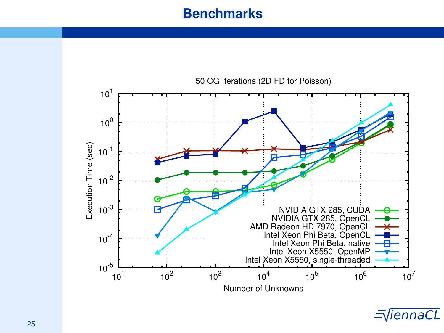## **Benchmarks**



 $\equiv$   $\sqrt{25}$  iennaCL  $\equiv$   $\sqrt{25}$  iennaCL  $\equiv$   $\sqrt{25}$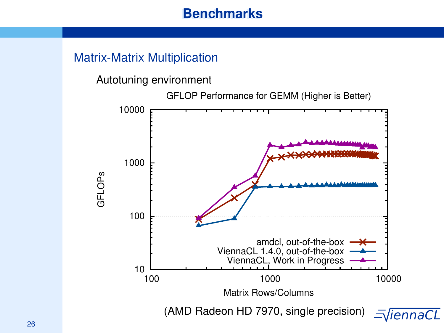## **Benchmarks**

### Matrix-Matrix Multiplication

Autotuning environment

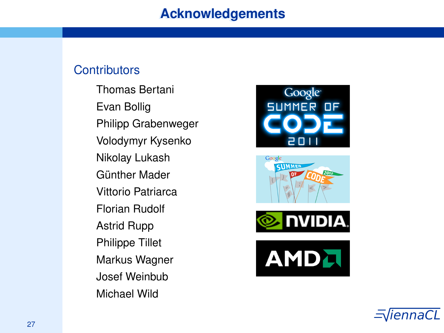#### **Contributors**

Thomas Bertani Evan Bollig Philipp Grabenweger Volodymyr Kysenko Nikolay Lukash Günther Mader Vittorio Patriarca Florian Rudolf Astrid Rupp Philippe Tillet Markus Wagner Josef Weinbub Michael Wild